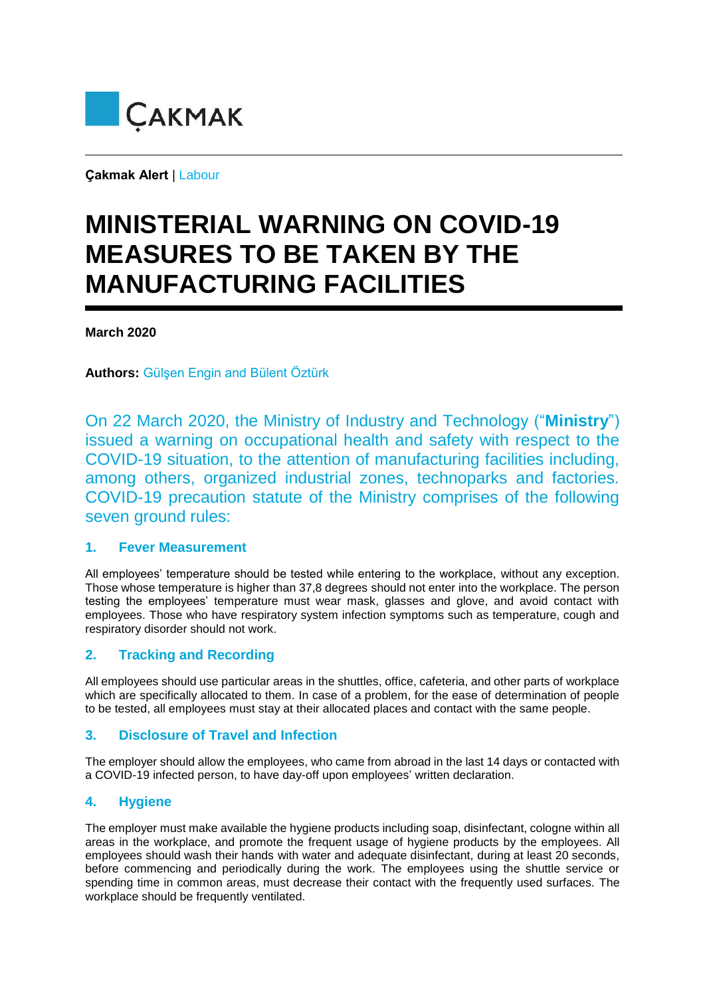

**Çakmak Alert** | Labour

# **MINISTERIAL WARNING ON COVID-19 MEASURES TO BE TAKEN BY THE MANUFACTURING FACILITIES**

#### **March 2020**

**Authors:** Gülşen Engin and Bülent Öztürk

On 22 March 2020, the Ministry of Industry and Technology ("**Ministry**") issued a warning on occupational health and safety with respect to the COVID-19 situation, to the attention of manufacturing facilities including, among others, organized industrial zones, technoparks and factories. COVID-19 precaution statute of the Ministry comprises of the following seven ground rules:

#### **1. Fever Measurement**

All employees' temperature should be tested while entering to the workplace, without any exception. Those whose temperature is higher than 37,8 degrees should not enter into the workplace. The person testing the employees' temperature must wear mask, glasses and glove, and avoid contact with employees. Those who have respiratory system infection symptoms such as temperature, cough and respiratory disorder should not work.

## **2. Tracking and Recording**

All employees should use particular areas in the shuttles, office, cafeteria, and other parts of workplace which are specifically allocated to them. In case of a problem, for the ease of determination of people to be tested, all employees must stay at their allocated places and contact with the same people.

## **3. Disclosure of Travel and Infection**

The employer should allow the employees, who came from abroad in the last 14 days or contacted with a COVID-19 infected person, to have day-off upon employees' written declaration.

## **4. Hygiene**

The employer must make available the hygiene products including soap, disinfectant, cologne within all areas in the workplace, and promote the frequent usage of hygiene products by the employees. All employees should wash their hands with water and adequate disinfectant, during at least 20 seconds, before commencing and periodically during the work. The employees using the shuttle service or spending time in common areas, must decrease their contact with the frequently used surfaces. The workplace should be frequently ventilated.